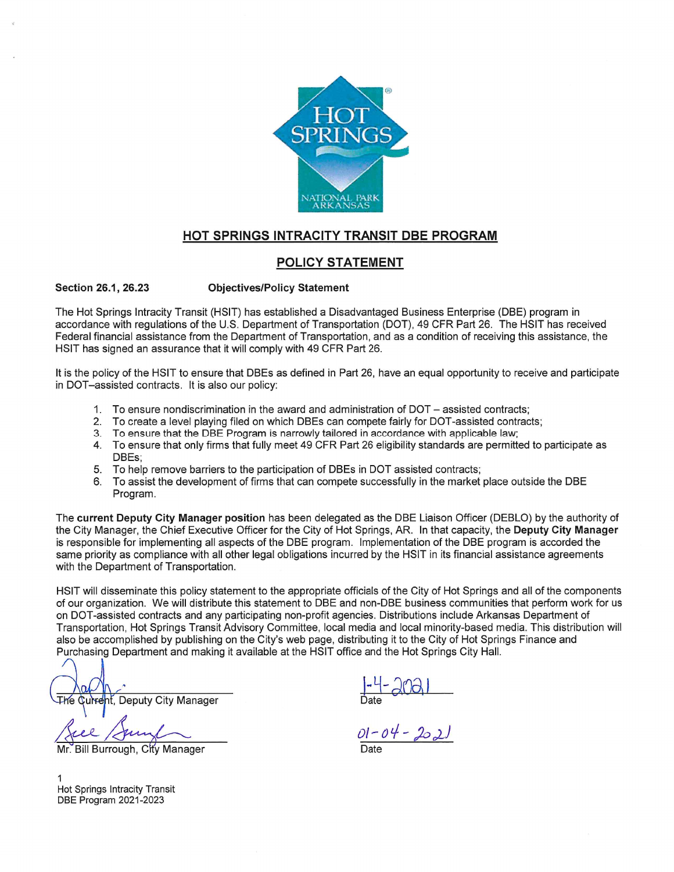

# HOT SPRINGS INTRACITY TRANSIT DBE PROGRAM

# **POLICY STATEMENT**

Section 26.1, 26.23 **Objectives/Policy Statement** 

The Hot Springs Intracity Transit (HSIT) has established a Disadvantaged Business Enterprise (DBE) program in accordance with regulations of the U.S. Department of Transportation (DOT), 49 CFR Part 26. The HSIT has received Federal financial assistance from the Department of Transportation, and as a condition of receiving this assistance, the HSIT has signed an assurance that it will comply with 49 CFR Part 26.

It is the policy of the HSIT to ensure that DBEs as defined in Part 26, have an equal opportunity to receive and participate in DOT-assisted contracts. It is also our policy:

- 1. To ensure nondiscrimination in the award and administration of DOT assisted contracts;
- 2. To create a level playing filed on which DBEs can compete fairly for DOT-assisted contracts;
- 3. To ensure that the DBE Program is narrowly tailored in accordance with applicable law;
- 4. To ensure that only firms that fully meet 49 CFR Part 26 eligibility standards are permitted to participate as DBEs:
- To help remove barriers to the participation of DBEs in DOT assisted contracts; 5.
- To assist the development of firms that can compete successfully in the market place outside the DBE 6 Program.

The current Deputy City Manager position has been delegated as the DBE Liaison Officer (DEBLO) by the authority of the City Manager, the Chief Executive Officer for the City of Hot Springs, AR. In that capacity, the Deputy City Manager is responsible for implementing all aspects of the DBE program. Implementation of the DBE program is accorded the same priority as compliance with all other legal obligations incurred by the HSIT in its financial assistance agreements with the Department of Transportation.

HSIT will disseminate this policy statement to the appropriate officials of the City of Hot Springs and all of the components of our organization. We will distribute this statement to DBE and non-DBE business communities that perform work for us on DOT-assisted contracts and any participating non-profit agencies. Distributions include Arkansas Department of Transportation, Hot Springs Transit Advisory Committee, local media and local minority-based media. This distribution will also be accomplished by publishing on the City's web page, distributing it to the City of Hot Springs Finance and Purchasing Department and making it available at the HSIT office and the Hot Springs City Hall.

∓he Curreht. Deputy City Manager

Mr. Bill Burrough, City Manager

 $\frac{1}{\text{Date}}$ <br>01-04-2021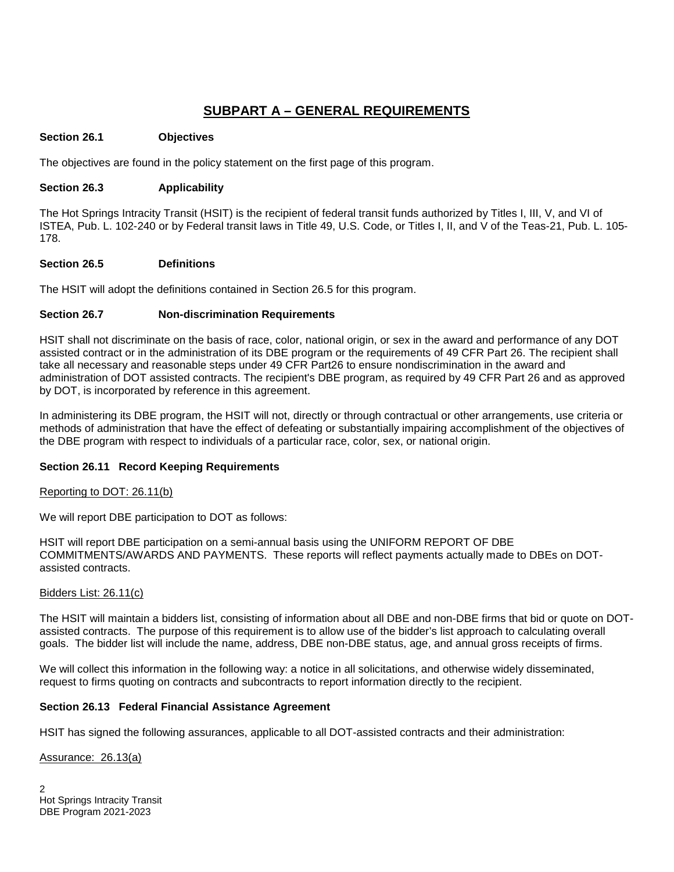# **SUBPART A – GENERAL REQUIREMENTS**

#### **Section 26.1 Objectives**

The objectives are found in the policy statement on the first page of this program.

#### **Section 26.3 Applicability**

The Hot Springs Intracity Transit (HSIT) is the recipient of federal transit funds authorized by Titles I, III, V, and VI of ISTEA, Pub. L. 102-240 or by Federal transit laws in Title 49, U.S. Code, or Titles I, II, and V of the Teas-21, Pub. L. 105- 178.

#### **Section 26.5 Definitions**

The HSIT will adopt the definitions contained in Section 26.5 for this program.

# **Section 26.7 Non-discrimination Requirements**

HSIT shall not discriminate on the basis of race, color, national origin, or sex in the award and performance of any DOT assisted contract or in the administration of its DBE program or the requirements of 49 CFR Part 26. The recipient shall take all necessary and reasonable steps under 49 CFR Part26 to ensure nondiscrimination in the award and administration of DOT assisted contracts. The recipient's DBE program, as required by 49 CFR Part 26 and as approved by DOT, is incorporated by reference in this agreement.

In administering its DBE program, the HSIT will not, directly or through contractual or other arrangements, use criteria or methods of administration that have the effect of defeating or substantially impairing accomplishment of the objectives of the DBE program with respect to individuals of a particular race, color, sex, or national origin.

# **Section 26.11 Record Keeping Requirements**

#### Reporting to DOT: 26.11(b)

We will report DBE participation to DOT as follows:

HSIT will report DBE participation on a semi-annual basis using the UNIFORM REPORT OF DBE COMMITMENTS/AWARDS AND PAYMENTS. These reports will reflect payments actually made to DBEs on DOTassisted contracts.

#### Bidders List: 26.11(c)

The HSIT will maintain a bidders list, consisting of information about all DBE and non-DBE firms that bid or quote on DOTassisted contracts. The purpose of this requirement is to allow use of the bidder's list approach to calculating overall goals. The bidder list will include the name, address, DBE non-DBE status, age, and annual gross receipts of firms.

We will collect this information in the following way: a notice in all solicitations, and otherwise widely disseminated, request to firms quoting on contracts and subcontracts to report information directly to the recipient.

# **Section 26.13 Federal Financial Assistance Agreement**

HSIT has signed the following assurances, applicable to all DOT-assisted contracts and their administration:

Assurance: 26.13(a)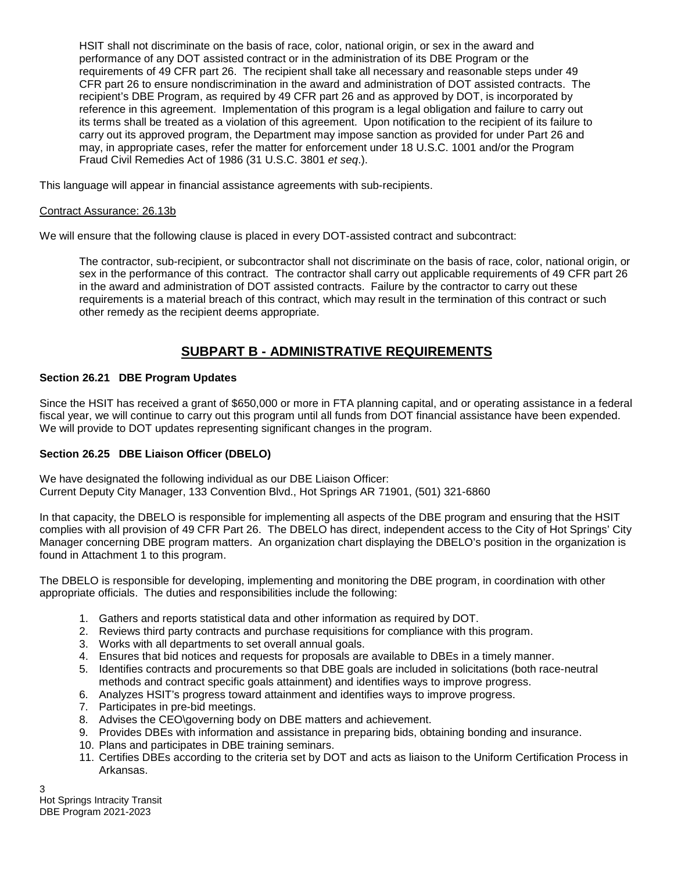HSIT shall not discriminate on the basis of race, color, national origin, or sex in the award and performance of any DOT assisted contract or in the administration of its DBE Program or the requirements of 49 CFR part 26. The recipient shall take all necessary and reasonable steps under 49 CFR part 26 to ensure nondiscrimination in the award and administration of DOT assisted contracts. The recipient's DBE Program, as required by 49 CFR part 26 and as approved by DOT, is incorporated by reference in this agreement. Implementation of this program is a legal obligation and failure to carry out its terms shall be treated as a violation of this agreement. Upon notification to the recipient of its failure to carry out its approved program, the Department may impose sanction as provided for under Part 26 and may, in appropriate cases, refer the matter for enforcement under 18 U.S.C. 1001 and/or the Program Fraud Civil Remedies Act of 1986 (31 U.S.C. 3801 *et seq*.).

This language will appear in financial assistance agreements with sub-recipients.

#### Contract Assurance: 26.13b

We will ensure that the following clause is placed in every DOT-assisted contract and subcontract:

The contractor, sub-recipient, or subcontractor shall not discriminate on the basis of race, color, national origin, or sex in the performance of this contract. The contractor shall carry out applicable requirements of 49 CFR part 26 in the award and administration of DOT assisted contracts. Failure by the contractor to carry out these requirements is a material breach of this contract, which may result in the termination of this contract or such other remedy as the recipient deems appropriate.

# **SUBPART B - ADMINISTRATIVE REQUIREMENTS**

#### **Section 26.21 DBE Program Updates**

Since the HSIT has received a grant of \$650,000 or more in FTA planning capital, and or operating assistance in a federal fiscal year, we will continue to carry out this program until all funds from DOT financial assistance have been expended. We will provide to DOT updates representing significant changes in the program.

# **Section 26.25 DBE Liaison Officer (DBELO)**

We have designated the following individual as our DBE Liaison Officer: Current Deputy City Manager, 133 Convention Blvd., Hot Springs AR 71901, (501) 321-6860

In that capacity, the DBELO is responsible for implementing all aspects of the DBE program and ensuring that the HSIT complies with all provision of 49 CFR Part 26. The DBELO has direct, independent access to the City of Hot Springs' City Manager concerning DBE program matters. An organization chart displaying the DBELO's position in the organization is found in Attachment 1 to this program.

The DBELO is responsible for developing, implementing and monitoring the DBE program, in coordination with other appropriate officials. The duties and responsibilities include the following:

- 1. Gathers and reports statistical data and other information as required by DOT.
- 2. Reviews third party contracts and purchase requisitions for compliance with this program.
- 3. Works with all departments to set overall annual goals.
- 4. Ensures that bid notices and requests for proposals are available to DBEs in a timely manner.
- 5. Identifies contracts and procurements so that DBE goals are included in solicitations (both race-neutral methods and contract specific goals attainment) and identifies ways to improve progress.
- 6. Analyzes HSIT's progress toward attainment and identifies ways to improve progress.
- 7. Participates in pre-bid meetings.
- 8. Advises the CEO\governing body on DBE matters and achievement.
- 9. Provides DBEs with information and assistance in preparing bids, obtaining bonding and insurance.
- 10. Plans and participates in DBE training seminars.
- 11. Certifies DBEs according to the criteria set by DOT and acts as liaison to the Uniform Certification Process in Arkansas.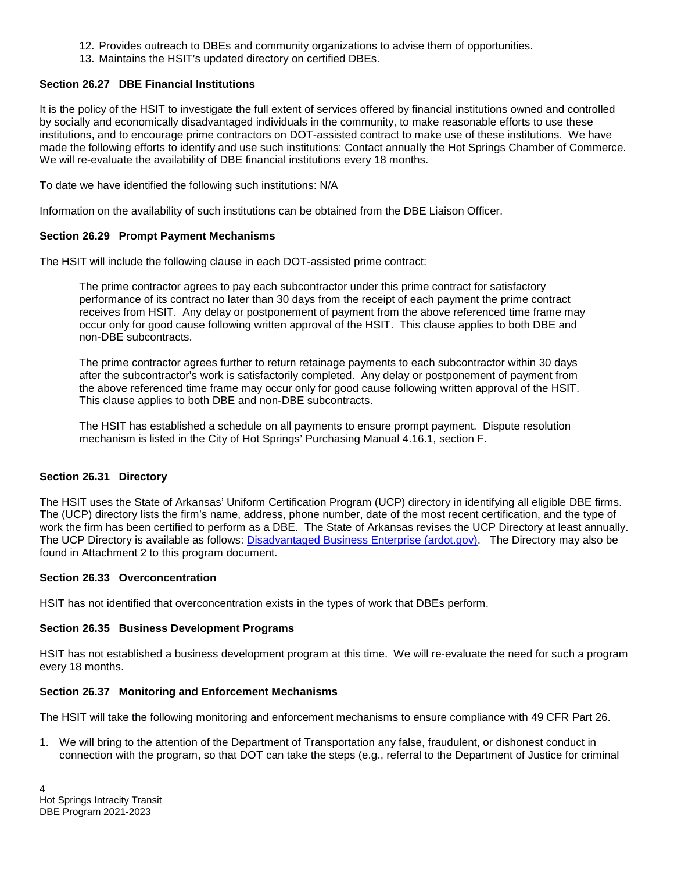- 12. Provides outreach to DBEs and community organizations to advise them of opportunities.
- 13. Maintains the HSIT's updated directory on certified DBEs.

# **Section 26.27 DBE Financial Institutions**

It is the policy of the HSIT to investigate the full extent of services offered by financial institutions owned and controlled by socially and economically disadvantaged individuals in the community, to make reasonable efforts to use these institutions, and to encourage prime contractors on DOT-assisted contract to make use of these institutions. We have made the following efforts to identify and use such institutions: Contact annually the Hot Springs Chamber of Commerce. We will re-evaluate the availability of DBE financial institutions every 18 months.

To date we have identified the following such institutions: N/A

Information on the availability of such institutions can be obtained from the DBE Liaison Officer.

#### **Section 26.29 Prompt Payment Mechanisms**

The HSIT will include the following clause in each DOT-assisted prime contract:

The prime contractor agrees to pay each subcontractor under this prime contract for satisfactory performance of its contract no later than 30 days from the receipt of each payment the prime contract receives from HSIT. Any delay or postponement of payment from the above referenced time frame may occur only for good cause following written approval of the HSIT. This clause applies to both DBE and non-DBE subcontracts.

The prime contractor agrees further to return retainage payments to each subcontractor within 30 days after the subcontractor's work is satisfactorily completed. Any delay or postponement of payment from the above referenced time frame may occur only for good cause following written approval of the HSIT. This clause applies to both DBE and non-DBE subcontracts.

The HSIT has established a schedule on all payments to ensure prompt payment. Dispute resolution mechanism is listed in the City of Hot Springs' Purchasing Manual 4.16.1, section F.

#### **Section 26.31 Directory**

The HSIT uses the State of Arkansas' Uniform Certification Program (UCP) directory in identifying all eligible DBE firms. The (UCP) directory lists the firm's name, address, phone number, date of the most recent certification, and the type of work the firm has been certified to perform as a DBE. The State of Arkansas revises the UCP Directory at least annually. The UCP Directory is available as follows: [Disadvantaged Business Enterprise \(ardot.gov\).](http://www.ardot.gov/dbe/dbe.aspx) The Directory may also be found in Attachment 2 to this program document.

#### **Section 26.33 Overconcentration**

HSIT has not identified that overconcentration exists in the types of work that DBEs perform.

# **Section 26.35 Business Development Programs**

HSIT has not established a business development program at this time. We will re-evaluate the need for such a program every 18 months.

# **Section 26.37 Monitoring and Enforcement Mechanisms**

The HSIT will take the following monitoring and enforcement mechanisms to ensure compliance with 49 CFR Part 26.

1. We will bring to the attention of the Department of Transportation any false, fraudulent, or dishonest conduct in connection with the program, so that DOT can take the steps (e.g., referral to the Department of Justice for criminal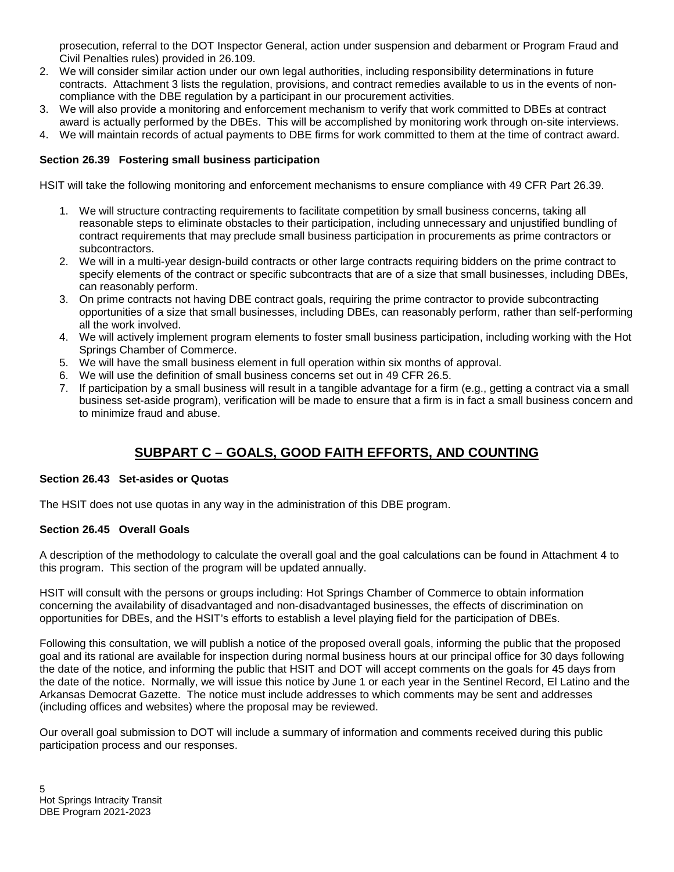prosecution, referral to the DOT Inspector General, action under suspension and debarment or Program Fraud and Civil Penalties rules) provided in 26.109.

- 2. We will consider similar action under our own legal authorities, including responsibility determinations in future contracts. Attachment 3 lists the regulation, provisions, and contract remedies available to us in the events of noncompliance with the DBE regulation by a participant in our procurement activities.
- 3. We will also provide a monitoring and enforcement mechanism to verify that work committed to DBEs at contract award is actually performed by the DBEs. This will be accomplished by monitoring work through on-site interviews.
- 4. We will maintain records of actual payments to DBE firms for work committed to them at the time of contract award.

#### **Section 26.39 Fostering small business participation**

HSIT will take the following monitoring and enforcement mechanisms to ensure compliance with 49 CFR Part 26.39.

- 1. We will structure contracting requirements to facilitate competition by small business concerns, taking all reasonable steps to eliminate obstacles to their participation, including unnecessary and unjustified bundling of contract requirements that may preclude small business participation in procurements as prime contractors or subcontractors.
- 2. We will in a multi-year design-build contracts or other large contracts requiring bidders on the prime contract to specify elements of the contract or specific subcontracts that are of a size that small businesses, including DBEs, can reasonably perform.
- 3. On prime contracts not having DBE contract goals, requiring the prime contractor to provide subcontracting opportunities of a size that small businesses, including DBEs, can reasonably perform, rather than self-performing all the work involved.
- 4. We will actively implement program elements to foster small business participation, including working with the Hot Springs Chamber of Commerce.
- 5. We will have the small business element in full operation within six months of approval.
- 6. We will use the definition of small business concerns set out in 49 CFR 26.5.
- 7. If participation by a small business will result in a tangible advantage for a firm (e.g., getting a contract via a small business set-aside program), verification will be made to ensure that a firm is in fact a small business concern and to minimize fraud and abuse.

# **SUBPART C – GOALS, GOOD FAITH EFFORTS, AND COUNTING**

#### **Section 26.43 Set-asides or Quotas**

The HSIT does not use quotas in any way in the administration of this DBE program.

#### **Section 26.45 Overall Goals**

A description of the methodology to calculate the overall goal and the goal calculations can be found in Attachment 4 to this program. This section of the program will be updated annually.

HSIT will consult with the persons or groups including: Hot Springs Chamber of Commerce to obtain information concerning the availability of disadvantaged and non-disadvantaged businesses, the effects of discrimination on opportunities for DBEs, and the HSIT's efforts to establish a level playing field for the participation of DBEs.

Following this consultation, we will publish a notice of the proposed overall goals, informing the public that the proposed goal and its rational are available for inspection during normal business hours at our principal office for 30 days following the date of the notice, and informing the public that HSIT and DOT will accept comments on the goals for 45 days from the date of the notice. Normally, we will issue this notice by June 1 or each year in the Sentinel Record, El Latino and the Arkansas Democrat Gazette. The notice must include addresses to which comments may be sent and addresses (including offices and websites) where the proposal may be reviewed.

Our overall goal submission to DOT will include a summary of information and comments received during this public participation process and our responses.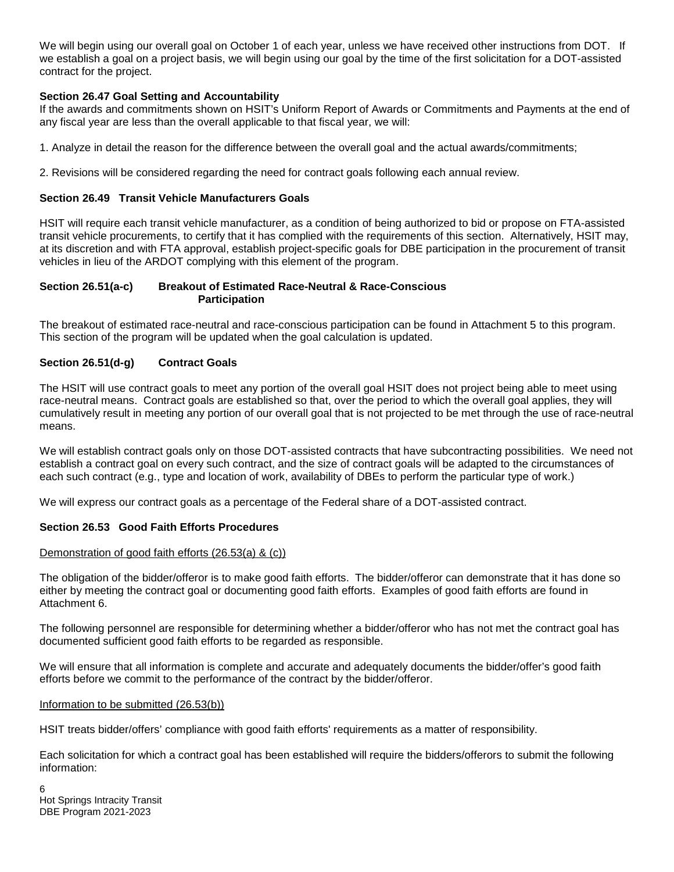We will begin using our overall goal on October 1 of each year, unless we have received other instructions from DOT. If we establish a goal on a project basis, we will begin using our goal by the time of the first solicitation for a DOT-assisted contract for the project.

# **Section 26.47 Goal Setting and Accountability**

If the awards and commitments shown on HSIT's Uniform Report of Awards or Commitments and Payments at the end of any fiscal year are less than the overall applicable to that fiscal year, we will:

1. Analyze in detail the reason for the difference between the overall goal and the actual awards/commitments;

2. Revisions will be considered regarding the need for contract goals following each annual review.

## **Section 26.49 Transit Vehicle Manufacturers Goals**

HSIT will require each transit vehicle manufacturer, as a condition of being authorized to bid or propose on FTA-assisted transit vehicle procurements, to certify that it has complied with the requirements of this section. Alternatively, HSIT may, at its discretion and with FTA approval, establish project-specific goals for DBE participation in the procurement of transit vehicles in lieu of the ARDOT complying with this element of the program.

#### **Section 26.51(a-c) Breakout of Estimated Race-Neutral & Race-Conscious Participation**

The breakout of estimated race-neutral and race-conscious participation can be found in Attachment 5 to this program. This section of the program will be updated when the goal calculation is updated.

# **Section 26.51(d-g) Contract Goals**

The HSIT will use contract goals to meet any portion of the overall goal HSIT does not project being able to meet using race-neutral means. Contract goals are established so that, over the period to which the overall goal applies, they will cumulatively result in meeting any portion of our overall goal that is not projected to be met through the use of race-neutral means.

We will establish contract goals only on those DOT-assisted contracts that have subcontracting possibilities. We need not establish a contract goal on every such contract, and the size of contract goals will be adapted to the circumstances of each such contract (e.g., type and location of work, availability of DBEs to perform the particular type of work.)

We will express our contract goals as a percentage of the Federal share of a DOT-assisted contract.

#### **Section 26.53 Good Faith Efforts Procedures**

#### Demonstration of good faith efforts (26.53(a) & (c))

The obligation of the bidder/offeror is to make good faith efforts. The bidder/offeror can demonstrate that it has done so either by meeting the contract goal or documenting good faith efforts. Examples of good faith efforts are found in Attachment 6.

The following personnel are responsible for determining whether a bidder/offeror who has not met the contract goal has documented sufficient good faith efforts to be regarded as responsible.

We will ensure that all information is complete and accurate and adequately documents the bidder/offer's good faith efforts before we commit to the performance of the contract by the bidder/offeror.

#### Information to be submitted (26.53(b))

HSIT treats bidder/offers' compliance with good faith efforts' requirements as a matter of responsibility.

Each solicitation for which a contract goal has been established will require the bidders/offerors to submit the following information: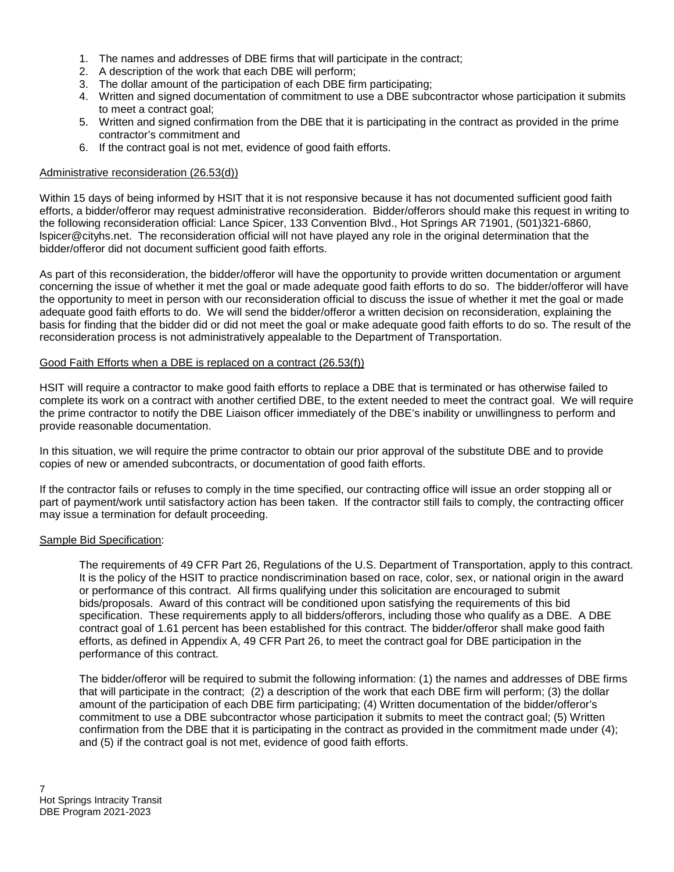- 1. The names and addresses of DBE firms that will participate in the contract;
- 2. A description of the work that each DBE will perform;
- 3. The dollar amount of the participation of each DBE firm participating;
- 4. Written and signed documentation of commitment to use a DBE subcontractor whose participation it submits to meet a contract goal;
- 5. Written and signed confirmation from the DBE that it is participating in the contract as provided in the prime contractor's commitment and
- 6. If the contract goal is not met, evidence of good faith efforts.

#### Administrative reconsideration (26.53(d))

Within 15 days of being informed by HSIT that it is not responsive because it has not documented sufficient good faith efforts, a bidder/offeror may request administrative reconsideration. Bidder/offerors should make this request in writing to the following reconsideration official: Lance Spicer, 133 Convention Blvd., Hot Springs AR 71901, (501)321-6860, lspicer@cityhs.net. The reconsideration official will not have played any role in the original determination that the bidder/offeror did not document sufficient good faith efforts.

As part of this reconsideration, the bidder/offeror will have the opportunity to provide written documentation or argument concerning the issue of whether it met the goal or made adequate good faith efforts to do so. The bidder/offeror will have the opportunity to meet in person with our reconsideration official to discuss the issue of whether it met the goal or made adequate good faith efforts to do. We will send the bidder/offeror a written decision on reconsideration, explaining the basis for finding that the bidder did or did not meet the goal or make adequate good faith efforts to do so. The result of the reconsideration process is not administratively appealable to the Department of Transportation.

#### Good Faith Efforts when a DBE is replaced on a contract (26.53(f))

HSIT will require a contractor to make good faith efforts to replace a DBE that is terminated or has otherwise failed to complete its work on a contract with another certified DBE, to the extent needed to meet the contract goal. We will require the prime contractor to notify the DBE Liaison officer immediately of the DBE's inability or unwillingness to perform and provide reasonable documentation.

In this situation, we will require the prime contractor to obtain our prior approval of the substitute DBE and to provide copies of new or amended subcontracts, or documentation of good faith efforts.

If the contractor fails or refuses to comply in the time specified, our contracting office will issue an order stopping all or part of payment/work until satisfactory action has been taken. If the contractor still fails to comply, the contracting officer may issue a termination for default proceeding.

#### Sample Bid Specification:

The requirements of 49 CFR Part 26, Regulations of the U.S. Department of Transportation, apply to this contract. It is the policy of the HSIT to practice nondiscrimination based on race, color, sex, or national origin in the award or performance of this contract. All firms qualifying under this solicitation are encouraged to submit bids/proposals. Award of this contract will be conditioned upon satisfying the requirements of this bid specification. These requirements apply to all bidders/offerors, including those who qualify as a DBE. A DBE contract goal of 1.61 percent has been established for this contract. The bidder/offeror shall make good faith efforts, as defined in Appendix A, 49 CFR Part 26, to meet the contract goal for DBE participation in the performance of this contract.

The bidder/offeror will be required to submit the following information: (1) the names and addresses of DBE firms that will participate in the contract; (2) a description of the work that each DBE firm will perform; (3) the dollar amount of the participation of each DBE firm participating; (4) Written documentation of the bidder/offeror's commitment to use a DBE subcontractor whose participation it submits to meet the contract goal; (5) Written confirmation from the DBE that it is participating in the contract as provided in the commitment made under (4); and (5) if the contract goal is not met, evidence of good faith efforts.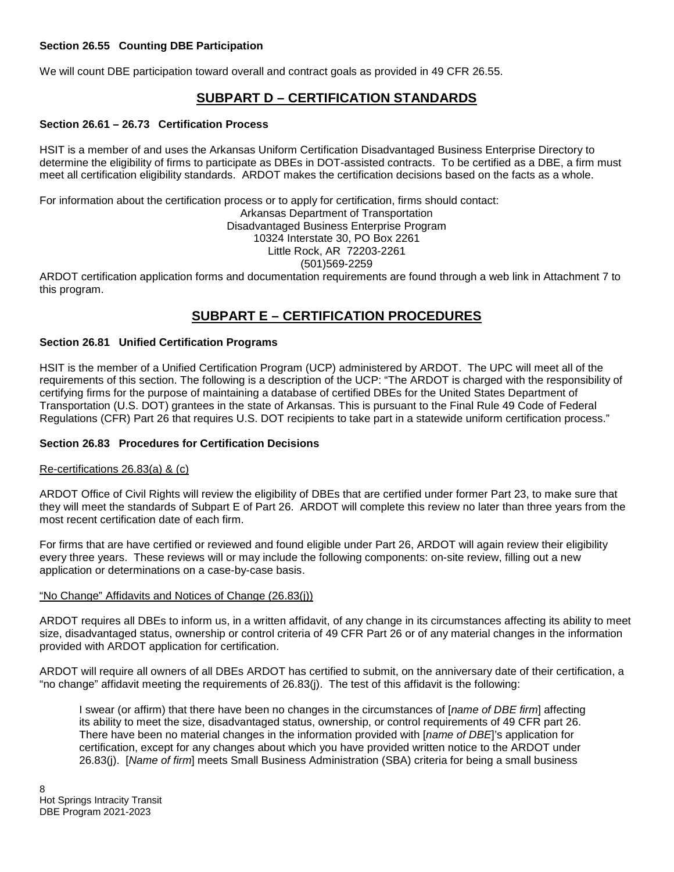# **Section 26.55 Counting DBE Participation**

We will count DBE participation toward overall and contract goals as provided in 49 CFR 26.55.

# **SUBPART D – CERTIFICATION STANDARDS**

#### **Section 26.61 – 26.73 Certification Process**

HSIT is a member of and uses the Arkansas Uniform Certification Disadvantaged Business Enterprise Directory to determine the eligibility of firms to participate as DBEs in DOT-assisted contracts. To be certified as a DBE, a firm must meet all certification eligibility standards. ARDOT makes the certification decisions based on the facts as a whole.

For information about the certification process or to apply for certification, firms should contact: Arkansas Department of Transportation Disadvantaged Business Enterprise Program 10324 Interstate 30, PO Box 2261 Little Rock, AR 72203-2261 (501)569-2259

ARDOT certification application forms and documentation requirements are found through a web link in Attachment 7 to this program.

# **SUBPART E – CERTIFICATION PROCEDURES**

#### **Section 26.81 Unified Certification Programs**

HSIT is the member of a Unified Certification Program (UCP) administered by ARDOT. The UPC will meet all of the requirements of this section. The following is a description of the UCP: "The ARDOT is charged with the responsibility of certifying firms for the purpose of maintaining a database of certified DBEs for the United States Department of Transportation (U.S. DOT) grantees in the state of Arkansas. This is pursuant to the Final Rule 49 Code of Federal Regulations (CFR) Part 26 that requires U.S. DOT recipients to take part in a statewide uniform certification process."

#### **Section 26.83 Procedures for Certification Decisions**

#### Re-certifications 26.83(a) & (c)

ARDOT Office of Civil Rights will review the eligibility of DBEs that are certified under former Part 23, to make sure that they will meet the standards of Subpart E of Part 26. ARDOT will complete this review no later than three years from the most recent certification date of each firm.

For firms that are have certified or reviewed and found eligible under Part 26, ARDOT will again review their eligibility every three years. These reviews will or may include the following components: on-site review, filling out a new application or determinations on a case-by-case basis.

#### "No Change" Affidavits and Notices of Change (26.83(j))

ARDOT requires all DBEs to inform us, in a written affidavit, of any change in its circumstances affecting its ability to meet size, disadvantaged status, ownership or control criteria of 49 CFR Part 26 or of any material changes in the information provided with ARDOT application for certification.

ARDOT will require all owners of all DBEs ARDOT has certified to submit, on the anniversary date of their certification, a "no change" affidavit meeting the requirements of 26.83(j). The test of this affidavit is the following:

I swear (or affirm) that there have been no changes in the circumstances of [*name of DBE firm*] affecting its ability to meet the size, disadvantaged status, ownership, or control requirements of 49 CFR part 26. There have been no material changes in the information provided with [*name of DBE*]'s application for certification, except for any changes about which you have provided written notice to the ARDOT under 26.83(j). [*Name of firm*] meets Small Business Administration (SBA) criteria for being a small business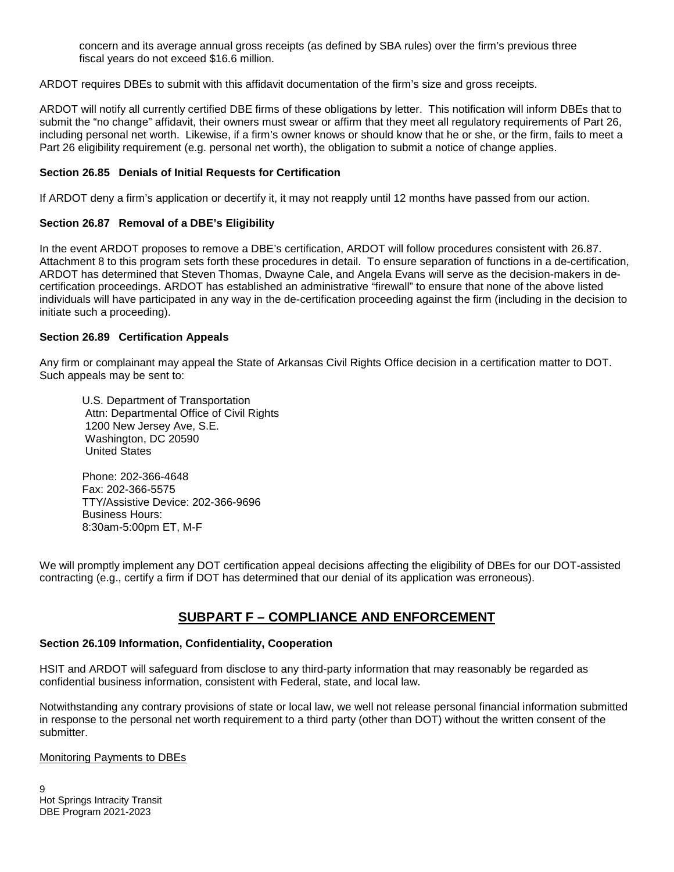concern and its average annual gross receipts (as defined by SBA rules) over the firm's previous three fiscal years do not exceed \$16.6 million.

ARDOT requires DBEs to submit with this affidavit documentation of the firm's size and gross receipts.

ARDOT will notify all currently certified DBE firms of these obligations by letter. This notification will inform DBEs that to submit the "no change" affidavit, their owners must swear or affirm that they meet all regulatory requirements of Part 26, including personal net worth. Likewise, if a firm's owner knows or should know that he or she, or the firm, fails to meet a Part 26 eligibility requirement (e.g. personal net worth), the obligation to submit a notice of change applies.

#### **Section 26.85 Denials of Initial Requests for Certification**

If ARDOT deny a firm's application or decertify it, it may not reapply until 12 months have passed from our action.

#### **Section 26.87 Removal of a DBE's Eligibility**

In the event ARDOT proposes to remove a DBE's certification, ARDOT will follow procedures consistent with 26.87. Attachment 8 to this program sets forth these procedures in detail. To ensure separation of functions in a de-certification, ARDOT has determined that Steven Thomas, Dwayne Cale, and Angela Evans will serve as the decision-makers in decertification proceedings. ARDOT has established an administrative "firewall" to ensure that none of the above listed individuals will have participated in any way in the de-certification proceeding against the firm (including in the decision to initiate such a proceeding).

#### **Section 26.89 Certification Appeals**

Any firm or complainant may appeal the State of Arkansas Civil Rights Office decision in a certification matter to DOT. Such appeals may be sent to:

U.S. Department of Transportation Attn: Departmental Office of Civil Rights 1200 New Jersey Ave, S.E. Washington, DC 20590 United States

 Phone: 202-366-4648 Fax: 202-366-5575 TTY/Assistive Device: 202-366-9696 Business Hours: 8:30am-5:00pm ET, M-F

We will promptly implement any DOT certification appeal decisions affecting the eligibility of DBEs for our DOT-assisted contracting (e.g., certify a firm if DOT has determined that our denial of its application was erroneous).

# **SUBPART F – COMPLIANCE AND ENFORCEMENT**

#### **Section 26.109 Information, Confidentiality, Cooperation**

HSIT and ARDOT will safeguard from disclose to any third-party information that may reasonably be regarded as confidential business information, consistent with Federal, state, and local law.

Notwithstanding any contrary provisions of state or local law, we well not release personal financial information submitted in response to the personal net worth requirement to a third party (other than DOT) without the written consent of the submitter.

Monitoring Payments to DBEs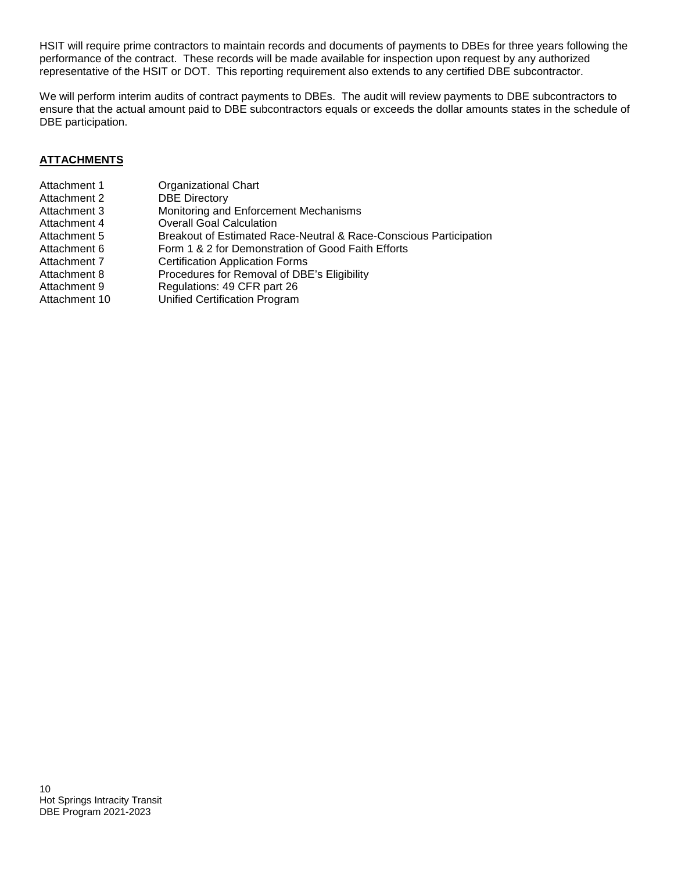HSIT will require prime contractors to maintain records and documents of payments to DBEs for three years following the performance of the contract. These records will be made available for inspection upon request by any authorized representative of the HSIT or DOT. This reporting requirement also extends to any certified DBE subcontractor.

We will perform interim audits of contract payments to DBEs. The audit will review payments to DBE subcontractors to ensure that the actual amount paid to DBE subcontractors equals or exceeds the dollar amounts states in the schedule of DBE participation.

# **ATTACHMENTS**

| Attachment 1  | <b>Organizational Chart</b>                                       |
|---------------|-------------------------------------------------------------------|
| Attachment 2  | <b>DBE Directory</b>                                              |
| Attachment 3  | Monitoring and Enforcement Mechanisms                             |
| Attachment 4  | <b>Overall Goal Calculation</b>                                   |
| Attachment 5  | Breakout of Estimated Race-Neutral & Race-Conscious Participation |
| Attachment 6  | Form 1 & 2 for Demonstration of Good Faith Efforts                |
| Attachment 7  | <b>Certification Application Forms</b>                            |
| Attachment 8  | Procedures for Removal of DBE's Eligibility                       |
| Attachment 9  | Regulations: 49 CFR part 26                                       |
| Attachment 10 | <b>Unified Certification Program</b>                              |
|               |                                                                   |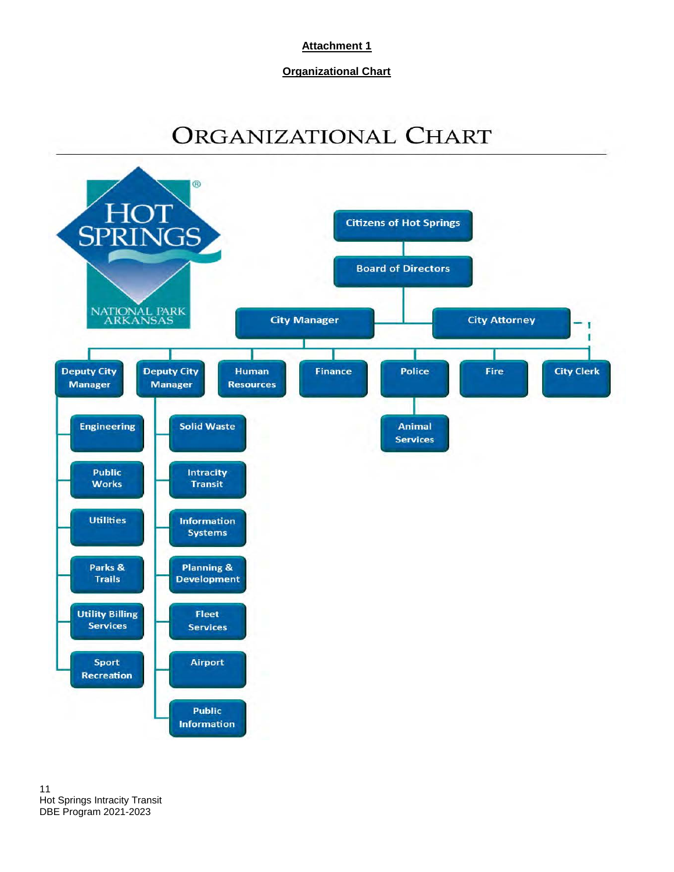**Organizational Chart**

# ORGANIZATIONAL CHART

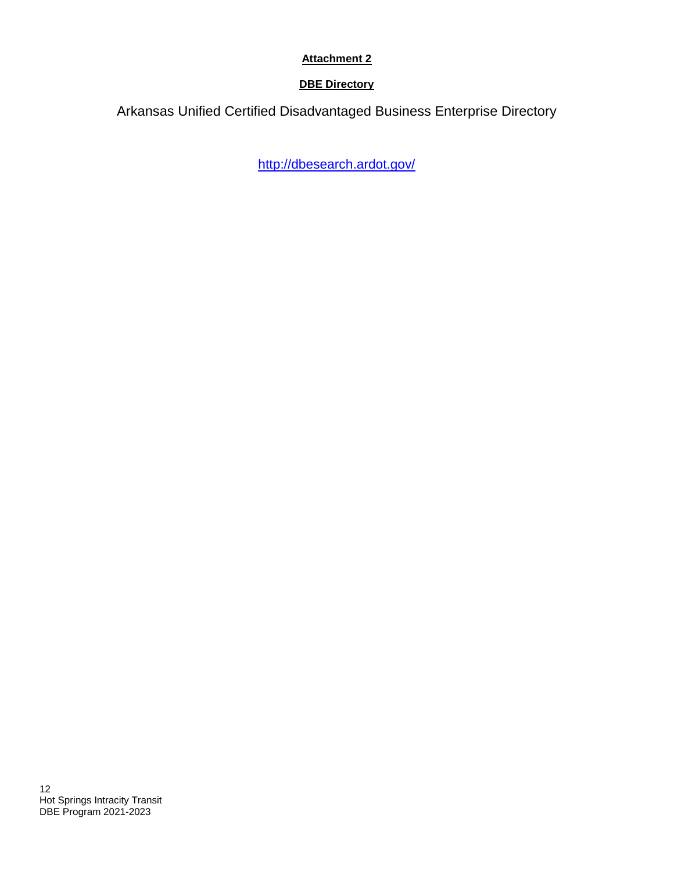# **DBE Directory**

Arkansas Unified Certified Disadvantaged Business Enterprise Directory

<http://dbesearch.ardot.gov/>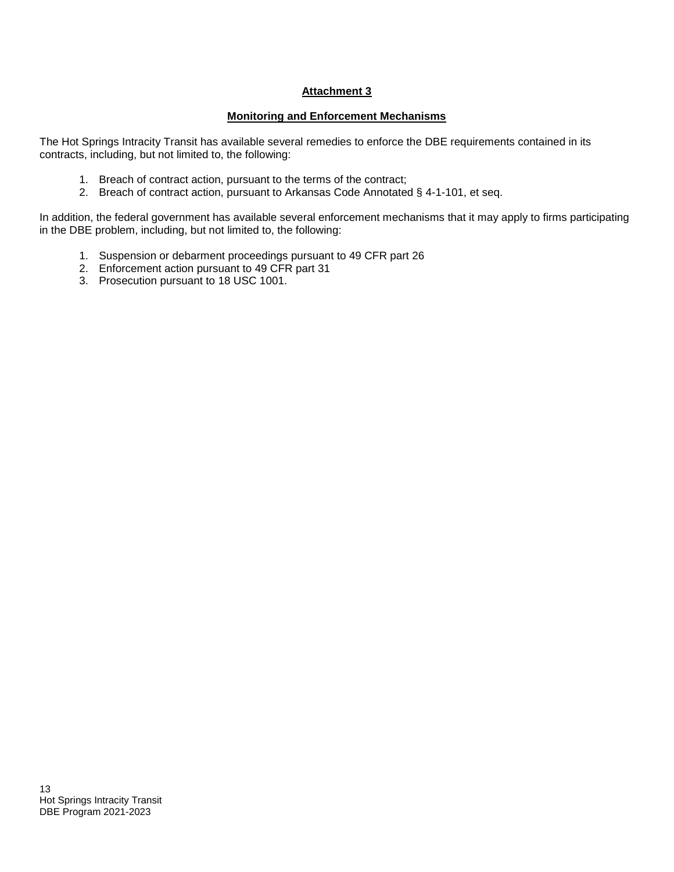# **Monitoring and Enforcement Mechanisms**

The Hot Springs Intracity Transit has available several remedies to enforce the DBE requirements contained in its contracts, including, but not limited to, the following:

- 1. Breach of contract action, pursuant to the terms of the contract;
- 2. Breach of contract action, pursuant to Arkansas Code Annotated § 4-1-101, et seq.

In addition, the federal government has available several enforcement mechanisms that it may apply to firms participating in the DBE problem, including, but not limited to, the following:

- 1. Suspension or debarment proceedings pursuant to 49 CFR part 26
- 2. Enforcement action pursuant to 49 CFR part 31
- 3. Prosecution pursuant to 18 USC 1001.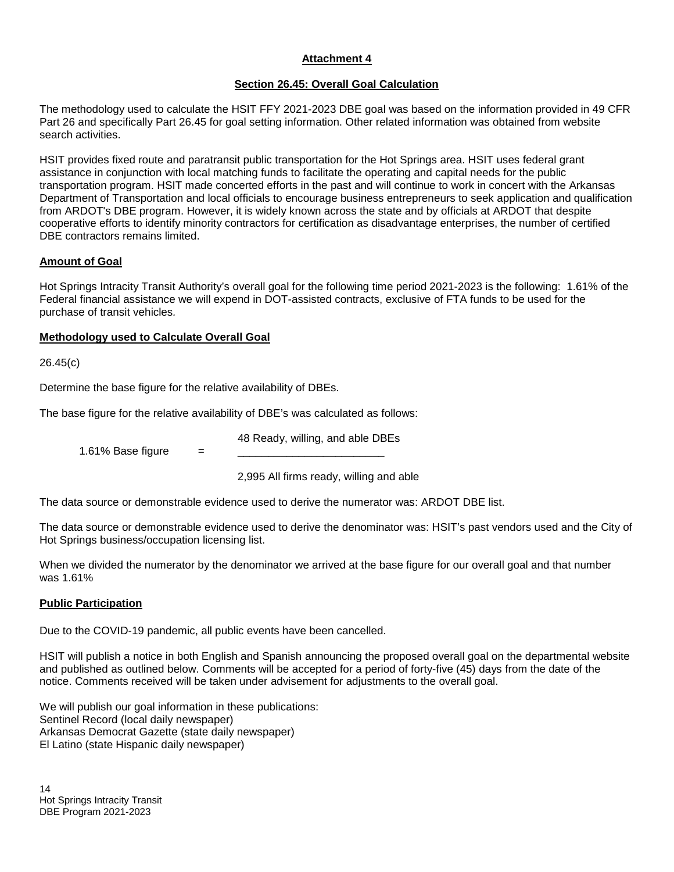## **Section 26.45: Overall Goal Calculation**

The methodology used to calculate the HSIT FFY 2021-2023 DBE goal was based on the information provided in 49 CFR Part 26 and specifically Part 26.45 for goal setting information. Other related information was obtained from website search activities.

HSIT provides fixed route and paratransit public transportation for the Hot Springs area. HSIT uses federal grant assistance in conjunction with local matching funds to facilitate the operating and capital needs for the public transportation program. HSIT made concerted efforts in the past and will continue to work in concert with the Arkansas Department of Transportation and local officials to encourage business entrepreneurs to seek application and qualification from ARDOT's DBE program. However, it is widely known across the state and by officials at ARDOT that despite cooperative efforts to identify minority contractors for certification as disadvantage enterprises, the number of certified DBE contractors remains limited.

#### **Amount of Goal**

Hot Springs Intracity Transit Authority's overall goal for the following time period 2021-2023 is the following: 1.61% of the Federal financial assistance we will expend in DOT-assisted contracts, exclusive of FTA funds to be used for the purchase of transit vehicles*.*

#### **Methodology used to Calculate Overall Goal**

26.45(c)

Determine the base figure for the relative availability of DBEs.

The base figure for the relative availability of DBE's was calculated as follows:

48 Ready, willing, and able DBEs

1.61% Base figure  $=$ 

2,995 All firms ready, willing and able

The data source or demonstrable evidence used to derive the numerator was: ARDOT DBE list.

The data source or demonstrable evidence used to derive the denominator was: HSIT's past vendors used and the City of Hot Springs business/occupation licensing list.

When we divided the numerator by the denominator we arrived at the base figure for our overall goal and that number was 1.61%

# **Public Participation**

Due to the COVID-19 pandemic, all public events have been cancelled.

HSIT will publish a notice in both English and Spanish announcing the proposed overall goal on the departmental website and published as outlined below. Comments will be accepted for a period of forty-five (45) days from the date of the notice. Comments received will be taken under advisement for adjustments to the overall goal.

We will publish our goal information in these publications: Sentinel Record (local daily newspaper) Arkansas Democrat Gazette (state daily newspaper) El Latino (state Hispanic daily newspaper)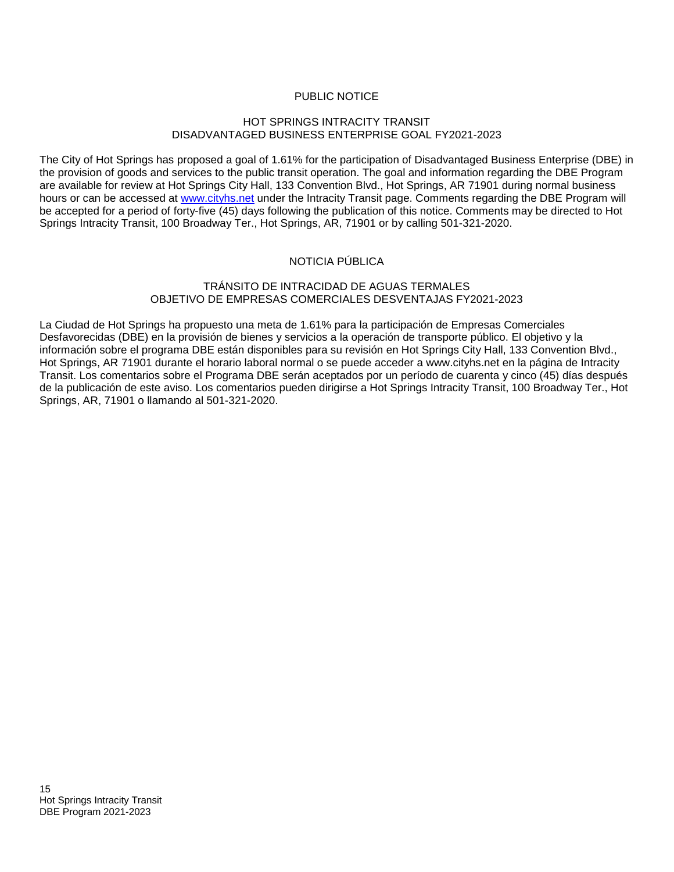# PUBLIC NOTICE

#### HOT SPRINGS INTRACITY TRANSIT DISADVANTAGED BUSINESS ENTERPRISE GOAL FY2021-2023

The City of Hot Springs has proposed a goal of 1.61% for the participation of Disadvantaged Business Enterprise (DBE) in the provision of goods and services to the public transit operation. The goal and information regarding the DBE Program are available for review at Hot Springs City Hall, 133 Convention Blvd., Hot Springs, AR 71901 during normal business hours or can be accessed at [www.cityhs.net](http://www.cityhs.net/) under the Intracity Transit page. Comments regarding the DBE Program will be accepted for a period of forty-five (45) days following the publication of this notice. Comments may be directed to Hot Springs Intracity Transit, 100 Broadway Ter., Hot Springs, AR, 71901 or by calling 501-321-2020.

# NOTICIA PÚBLICA

#### TRÁNSITO DE INTRACIDAD DE AGUAS TERMALES OBJETIVO DE EMPRESAS COMERCIALES DESVENTAJAS FY2021-2023

La Ciudad de Hot Springs ha propuesto una meta de 1.61% para la participación de Empresas Comerciales Desfavorecidas (DBE) en la provisión de bienes y servicios a la operación de transporte público. El objetivo y la información sobre el programa DBE están disponibles para su revisión en Hot Springs City Hall, 133 Convention Blvd., Hot Springs, AR 71901 durante el horario laboral normal o se puede acceder a www.cityhs.net en la página de Intracity Transit. Los comentarios sobre el Programa DBE serán aceptados por un período de cuarenta y cinco (45) días después de la publicación de este aviso. Los comentarios pueden dirigirse a Hot Springs Intracity Transit, 100 Broadway Ter., Hot Springs, AR, 71901 o llamando al 501-321-2020.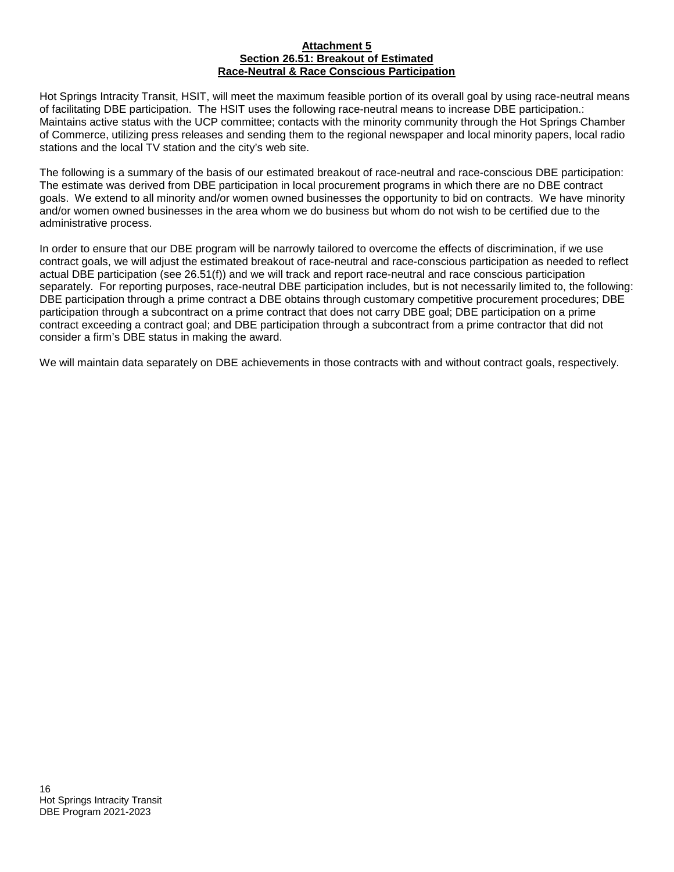#### **Attachment 5 Section 26.51: Breakout of Estimated Race-Neutral & Race Conscious Participation**

Hot Springs Intracity Transit, HSIT, will meet the maximum feasible portion of its overall goal by using race-neutral means of facilitating DBE participation. The HSIT uses the following race-neutral means to increase DBE participation.: Maintains active status with the UCP committee; contacts with the minority community through the Hot Springs Chamber of Commerce, utilizing press releases and sending them to the regional newspaper and local minority papers, local radio stations and the local TV station and the city's web site.

The following is a summary of the basis of our estimated breakout of race-neutral and race-conscious DBE participation: The estimate was derived from DBE participation in local procurement programs in which there are no DBE contract goals. We extend to all minority and/or women owned businesses the opportunity to bid on contracts. We have minority and/or women owned businesses in the area whom we do business but whom do not wish to be certified due to the administrative process.

In order to ensure that our DBE program will be narrowly tailored to overcome the effects of discrimination, if we use contract goals, we will adjust the estimated breakout of race-neutral and race-conscious participation as needed to reflect actual DBE participation (see 26.51(f)) and we will track and report race-neutral and race conscious participation separately. For reporting purposes, race-neutral DBE participation includes, but is not necessarily limited to, the following: DBE participation through a prime contract a DBE obtains through customary competitive procurement procedures; DBE participation through a subcontract on a prime contract that does not carry DBE goal; DBE participation on a prime contract exceeding a contract goal; and DBE participation through a subcontract from a prime contractor that did not consider a firm's DBE status in making the award.

We will maintain data separately on DBE achievements in those contracts with and without contract goals, respectively.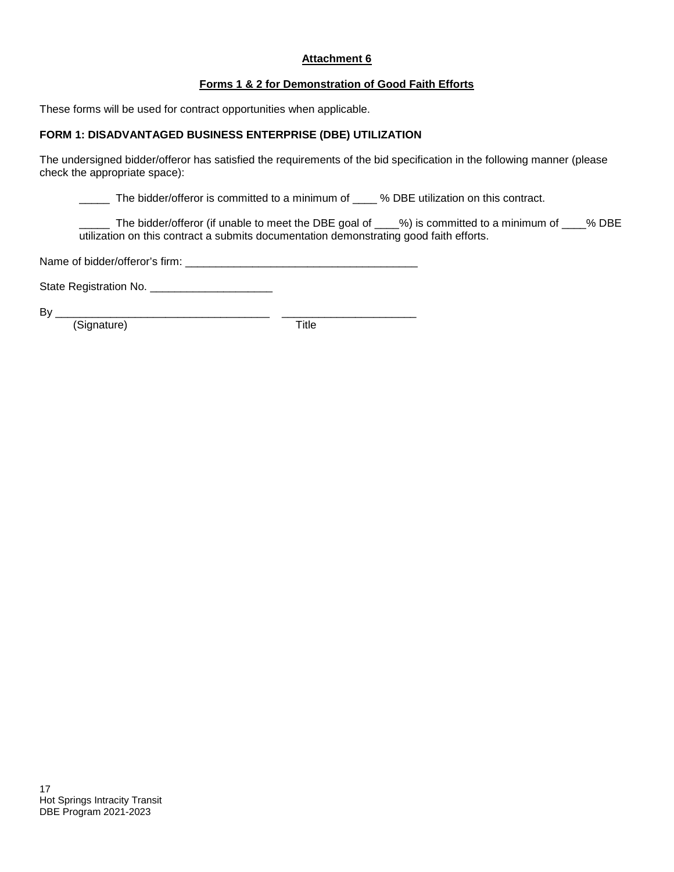### **Forms 1 & 2 for Demonstration of Good Faith Efforts**

These forms will be used for contract opportunities when applicable.

#### **FORM 1: DISADVANTAGED BUSINESS ENTERPRISE (DBE) UTILIZATION**

The undersigned bidder/offeror has satisfied the requirements of the bid specification in the following manner (please check the appropriate space):

\_\_\_\_\_ The bidder/offeror is committed to a minimum of \_\_\_\_ % DBE utilization on this contract.

\_\_\_\_\_ The bidder/offeror (if unable to meet the DBE goal of \_\_\_\_%) is committed to a minimum of \_\_\_\_% DBE utilization on this contract a submits documentation demonstrating good faith efforts.

Name of bidder/offeror's firm:

State Registration No. \_\_\_\_\_\_\_\_\_\_\_\_\_\_\_\_\_\_\_\_

 $\n By   
\n (Sianature)$   $\n The image shows a function of the following equations:\n The image shows a function of the following equations:\n The image shows a function of the function  $y = 0$  and  $y = 1$  and  $y = 0$ . The graph shows a function of the function  $y = 0$  and  $y = 1$ . The graph shows a function of the function  $y = 0$  and  $y = 0$ . The graph shows a function of the function  $y = 0$  and  $y = 0$ . The graph shows a function of the function  $y = 0$  and  $y = 0$ . The graph shows a function of the function  $y = 0$  and  $y = 0$ . The graph shows a function of$ (Signature)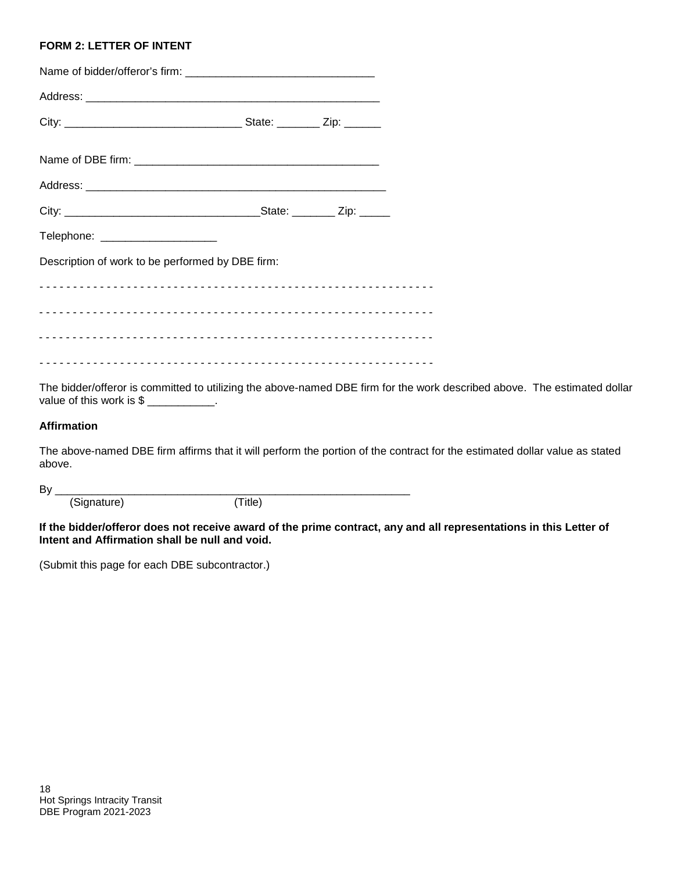#### **FORM 2: LETTER OF INTENT**

| Telephone: ______________________                |  |  |  |  |
|--------------------------------------------------|--|--|--|--|
| Description of work to be performed by DBE firm: |  |  |  |  |
|                                                  |  |  |  |  |
|                                                  |  |  |  |  |
|                                                  |  |  |  |  |
|                                                  |  |  |  |  |

The bidder/offeror is committed to utilizing the above-named DBE firm for the work described above. The estimated dollar value of this work is  $\frac{1}{2}$  \_\_\_\_\_\_\_\_\_\_\_.

# **Affirmation**

The above-named DBE firm affirms that it will perform the portion of the contract for the estimated dollar value as stated above.

By \_\_\_\_\_\_\_\_\_\_\_\_\_\_\_\_\_\_\_\_\_\_\_\_\_\_\_\_\_\_\_\_\_\_\_\_\_\_\_\_\_\_\_\_\_\_\_\_\_\_\_\_\_\_\_\_\_\_ (Signature) (Title)

**If the bidder/offeror does not receive award of the prime contract, any and all representations in this Letter of Intent and Affirmation shall be null and void.**

(Submit this page for each DBE subcontractor.)